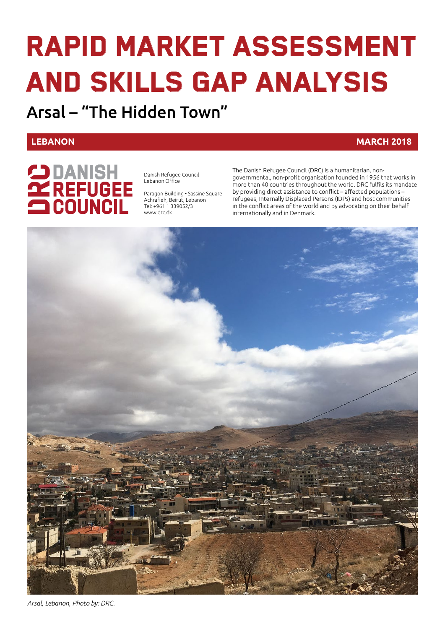# RAPID MARKET ASSESSMENT AND SKILLS GAP ANALYSIS

# Arsal – "The Hidden Town"

#### **LEBANON**

#### **MARCH 2018**

# 2 DANISH<br>2 REFUGEE<br>2 COUNCIL

Danish Refugee Council Lebanon Office

Paragon Building • Sassine Square Achrafieh, Beirut, Lebanon Tel: +961 1 339052/3 www.drc.dk

The Danish Refugee Council (DRC) is a humanitarian, nongovernmental, non-profit organisation founded in 1956 that works in more than 40 countries throughout the world. DRC fulfils its mandate by providing direct assistance to conflict – affected populations – refugees, Internally Displaced Persons (IDPs) and host communities in the conflict areas of the world and by advocating on their behalf internationally and in Denmark.

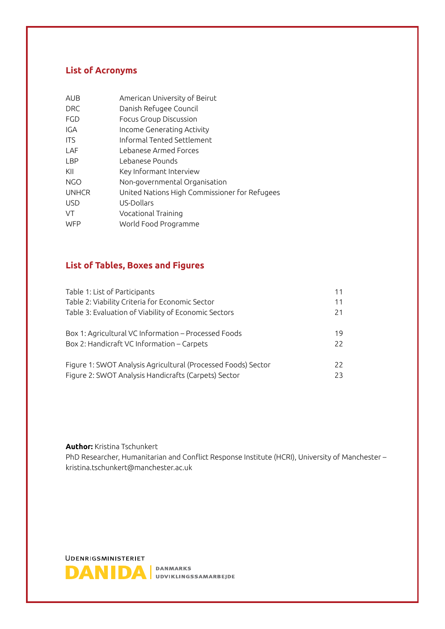### **List of Acronyms**

| <b>AUB</b>   | American University of Beirut                 |
|--------------|-----------------------------------------------|
| DRC.         | Danish Refugee Council                        |
| FGD          | <b>Focus Group Discussion</b>                 |
| IGA          | Income Generating Activity                    |
| <b>ITS</b>   | Informal Tented Settlement                    |
| LAF          | Lebanese Armed Forces                         |
| <b>LBP</b>   | Lebanese Pounds                               |
| KII          | Key Informant Interview                       |
| <b>NGO</b>   | Non-governmental Organisation                 |
| <b>UNHCR</b> | United Nations High Commissioner for Refugees |
| <b>USD</b>   | US-Dollars                                    |
| <b>VT</b>    | Vocational Training                           |
| <b>WFP</b>   | World Food Programme                          |

#### **List of Tables, Boxes and Figures**

| Table 1: List of Participants                                 | 11 |
|---------------------------------------------------------------|----|
| Table 2: Viability Criteria for Economic Sector               | 11 |
| Table 3: Evaluation of Viability of Economic Sectors          | 21 |
| Box 1: Agricultural VC Information - Processed Foods          | 19 |
| Box 2: Handicraft VC Information - Carpets                    | 22 |
| Figure 1: SWOT Analysis Agricultural (Processed Foods) Sector | 22 |
| Figure 2: SWOT Analysis Handicrafts (Carpets) Sector          | 23 |

#### **Author:** Kristina Tschunkert

PhD Researcher, Humanitarian and Conflict Response Institute (HCRI), University of Manchester – kristina.tschunkert@manchester.ac.uk

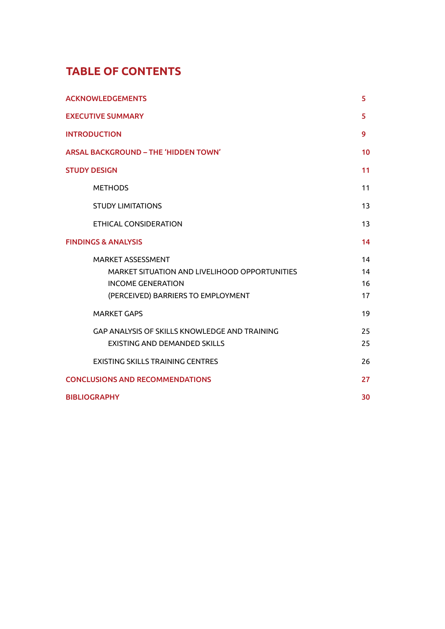# **TABLE OF CONTENTS**

| <b>ACKNOWLEDGEMENTS</b>                                                                                                                                                                                                                                                                                     |                                              |  |  |
|-------------------------------------------------------------------------------------------------------------------------------------------------------------------------------------------------------------------------------------------------------------------------------------------------------------|----------------------------------------------|--|--|
| <b>EXECUTIVE SUMMARY</b>                                                                                                                                                                                                                                                                                    |                                              |  |  |
| <b>INTRODUCTION</b>                                                                                                                                                                                                                                                                                         | 9                                            |  |  |
| <b>ARSAL BACKGROUND - THE 'HIDDEN TOWN'</b>                                                                                                                                                                                                                                                                 | 10                                           |  |  |
| <b>STUDY DESIGN</b>                                                                                                                                                                                                                                                                                         | 11                                           |  |  |
| <b>METHODS</b>                                                                                                                                                                                                                                                                                              | 11                                           |  |  |
| <b>STUDY LIMITATIONS</b>                                                                                                                                                                                                                                                                                    | 13                                           |  |  |
| ETHICAL CONSIDERATION                                                                                                                                                                                                                                                                                       | 13                                           |  |  |
| <b>FINDINGS &amp; ANALYSIS</b>                                                                                                                                                                                                                                                                              | 14                                           |  |  |
| <b>MARKET ASSESSMENT</b><br><b>MARKET SITUATION AND LIVELIHOOD OPPORTUNITIES</b><br><b>INCOME GENERATION</b><br>(PERCEIVED) BARRIERS TO EMPLOYMENT<br><b>MARKET GAPS</b><br>GAP ANALYSIS OF SKILLS KNOWLEDGE AND TRAINING<br><b>EXISTING AND DEMANDED SKILLS</b><br><b>EXISTING SKILLS TRAINING CENTRES</b> | 14<br>14<br>16<br>17<br>19<br>25<br>25<br>26 |  |  |
| <b>CONCLUSIONS AND RECOMMENDATIONS</b>                                                                                                                                                                                                                                                                      | 27                                           |  |  |
|                                                                                                                                                                                                                                                                                                             |                                              |  |  |
| <b>BIBLIOGRAPHY</b>                                                                                                                                                                                                                                                                                         | 30                                           |  |  |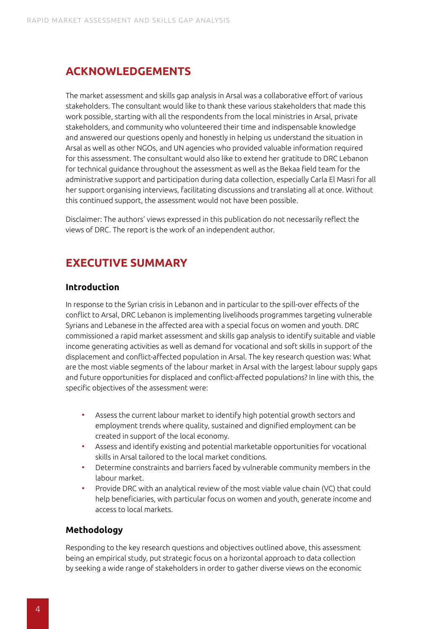# **ACKNOWLEDGEMENTS**

The market assessment and skills gap analysis in Arsal was a collaborative effort of various stakeholders. The consultant would like to thank these various stakeholders that made this work possible, starting with all the respondents from the local ministries in Arsal, private stakeholders, and community who volunteered their time and indispensable knowledge and answered our questions openly and honestly in helping us understand the situation in Arsal as well as other NGOs, and UN agencies who provided valuable information required for this assessment. The consultant would also like to extend her gratitude to DRC Lebanon for technical guidance throughout the assessment as well as the Bekaa field team for the administrative support and participation during data collection, especially Carla El Masri for all her support organising interviews, facilitating discussions and translating all at once. Without this continued support, the assessment would not have been possible.

Disclaimer: The authors' views expressed in this publication do not necessarily reflect the views of DRC. The report is the work of an independent author.

# **EXECUTIVE SUMMARY**

#### **Introduction**

In response to the Syrian crisis in Lebanon and in particular to the spill-over effects of the conflict to Arsal, DRC Lebanon is implementing livelihoods programmes targeting vulnerable Syrians and Lebanese in the affected area with a special focus on women and youth. DRC commissioned a rapid market assessment and skills gap analysis to identify suitable and viable income generating activities as well as demand for vocational and soft skills in support of the displacement and conflict-affected population in Arsal. The key research question was: What are the most viable segments of the labour market in Arsal with the largest labour supply gaps and future opportunities for displaced and conflict-affected populations? In line with this, the specific objectives of the assessment were:

- Assess the current labour market to identify high potential growth sectors and employment trends where quality, sustained and dignified employment can be created in support of the local economy.
- Assess and identify existing and potential marketable opportunities for vocational skills in Arsal tailored to the local market conditions.
- Determine constraints and barriers faced by vulnerable community members in the labour market.
- Provide DRC with an analytical review of the most viable value chain (VC) that could help beneficiaries, with particular focus on women and youth, generate income and access to local markets.

#### **Methodology**

Responding to the key research questions and objectives outlined above, this assessment being an empirical study, put strategic focus on a horizontal approach to data collection by seeking a wide range of stakeholders in order to gather diverse views on the economic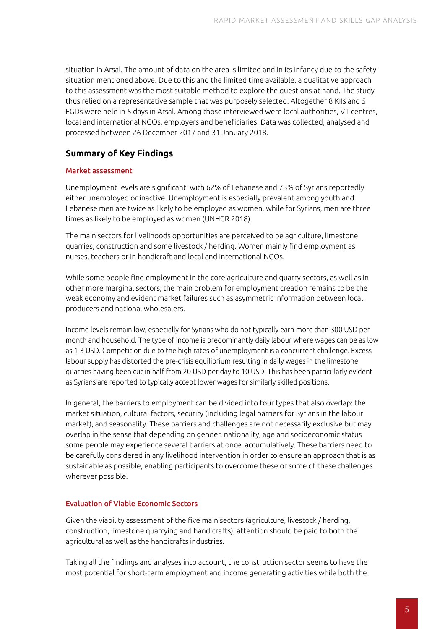situation in Arsal. The amount of data on the area is limited and in its infancy due to the safety situation mentioned above. Due to this and the limited time available, a qualitative approach to this assessment was the most suitable method to explore the questions at hand. The study thus relied on a representative sample that was purposely selected. Altogether 8 KIIs and 5 FGDs were held in 5 days in Arsal. Among those interviewed were local authorities, VT centres, local and international NGOs, employers and beneficiaries. Data was collected, analysed and processed between 26 December 2017 and 31 January 2018.

#### **Summary of Key Findings**

#### Market assessment

Unemployment levels are significant, with 62% of Lebanese and 73% of Syrians reportedly either unemployed or inactive. Unemployment is especially prevalent among youth and Lebanese men are twice as likely to be employed as women, while for Syrians, men are three times as likely to be employed as women (UNHCR 2018).

The main sectors for livelihoods opportunities are perceived to be agriculture, limestone quarries, construction and some livestock / herding. Women mainly find employment as nurses, teachers or in handicraft and local and international NGOs.

While some people find employment in the core agriculture and quarry sectors, as well as in other more marginal sectors, the main problem for employment creation remains to be the weak economy and evident market failures such as asymmetric information between local producers and national wholesalers.

Income levels remain low, especially for Syrians who do not typically earn more than 300 USD per month and household. The type of income is predominantly daily labour where wages can be as low as 1-3 USD. Competition due to the high rates of unemployment is a concurrent challenge. Excess labour supply has distorted the pre-crisis equilibrium resulting in daily wages in the limestone quarries having been cut in half from 20 USD per day to 10 USD. This has been particularly evident as Syrians are reported to typically accept lower wages for similarly skilled positions.

In general, the barriers to employment can be divided into four types that also overlap: the market situation, cultural factors, security (including legal barriers for Syrians in the labour market), and seasonality. These barriers and challenges are not necessarily exclusive but may overlap in the sense that depending on gender, nationality, age and socioeconomic status some people may experience several barriers at once, accumulatively. These barriers need to be carefully considered in any livelihood intervention in order to ensure an approach that is as sustainable as possible, enabling participants to overcome these or some of these challenges wherever possible.

#### Evaluation of Viable Economic Sectors

Given the viability assessment of the five main sectors (agriculture, livestock / herding, construction, limestone quarrying and handicrafts), attention should be paid to both the agricultural as well as the handicrafts industries.

Taking all the findings and analyses into account, the construction sector seems to have the most potential for short-term employment and income generating activities while both the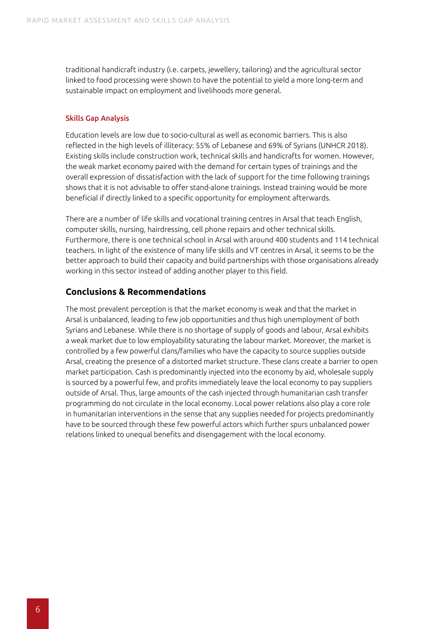traditional handicraft industry (i.e. carpets, jewellery, tailoring) and the agricultural sector linked to food processing were shown to have the potential to yield a more long-term and sustainable impact on employment and livelihoods more general.

#### Skills Gap Analysis

Education levels are low due to socio-cultural as well as economic barriers. This is also reflected in the high levels of illiteracy: 55% of Lebanese and 69% of Syrians (UNHCR 2018). Existing skills include construction work, technical skills and handicrafts for women. However, the weak market economy paired with the demand for certain types of trainings and the overall expression of dissatisfaction with the lack of support for the time following trainings shows that it is not advisable to offer stand-alone trainings. Instead training would be more beneficial if directly linked to a specific opportunity for employment afterwards.

There are a number of life skills and vocational training centres in Arsal that teach English, computer skills, nursing, hairdressing, cell phone repairs and other technical skills. Furthermore, there is one technical school in Arsal with around 400 students and 114 technical teachers. In light of the existence of many life skills and VT centres in Arsal, it seems to be the better approach to build their capacity and build partnerships with those organisations already working in this sector instead of adding another player to this field.

#### **Conclusions & Recommendations**

The most prevalent perception is that the market economy is weak and that the market in Arsal is unbalanced, leading to few job opportunities and thus high unemployment of both Syrians and Lebanese. While there is no shortage of supply of goods and labour, Arsal exhibits a weak market due to low employability saturating the labour market. Moreover, the market is controlled by a few powerful clans/families who have the capacity to source supplies outside Arsal, creating the presence of a distorted market structure. These clans create a barrier to open market participation. Cash is predominantly injected into the economy by aid, wholesale supply is sourced by a powerful few, and profits immediately leave the local economy to pay suppliers outside of Arsal. Thus, large amounts of the cash injected through humanitarian cash transfer programming do not circulate in the local economy. Local power relations also play a core role in humanitarian interventions in the sense that any supplies needed for projects predominantly have to be sourced through these few powerful actors which further spurs unbalanced power relations linked to unequal benefits and disengagement with the local economy.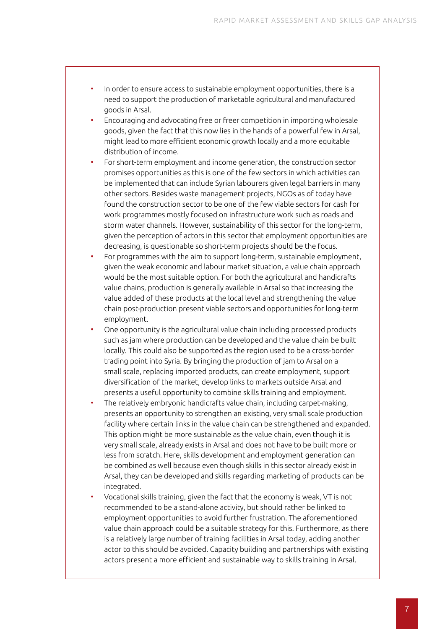- In order to ensure access to sustainable employment opportunities, there is a need to support the production of marketable agricultural and manufactured goods in Arsal.
- Encouraging and advocating free or freer competition in importing wholesale goods, given the fact that this now lies in the hands of a powerful few in Arsal, might lead to more efficient economic growth locally and a more equitable distribution of income.
- For short-term employment and income generation, the construction sector promises opportunities as this is one of the few sectors in which activities can be implemented that can include Syrian labourers given legal barriers in many other sectors. Besides waste management projects, NGOs as of today have found the construction sector to be one of the few viable sectors for cash for work programmes mostly focused on infrastructure work such as roads and storm water channels. However, sustainability of this sector for the long-term, given the perception of actors in this sector that employment opportunities are decreasing, is questionable so short-term projects should be the focus.
- For programmes with the aim to support long-term, sustainable employment, given the weak economic and labour market situation, a value chain approach would be the most suitable option. For both the agricultural and handicrafts value chains, production is generally available in Arsal so that increasing the value added of these products at the local level and strengthening the value chain post-production present viable sectors and opportunities for long-term employment.
- One opportunity is the agricultural value chain including processed products such as jam where production can be developed and the value chain be built locally. This could also be supported as the region used to be a cross-border trading point into Syria. By bringing the production of jam to Arsal on a small scale, replacing imported products, can create employment, support diversification of the market, develop links to markets outside Arsal and presents a useful opportunity to combine skills training and employment.
- The relatively embryonic handicrafts value chain, including carpet-making, presents an opportunity to strengthen an existing, very small scale production facility where certain links in the value chain can be strengthened and expanded. This option might be more sustainable as the value chain, even though it is very small scale, already exists in Arsal and does not have to be built more or less from scratch. Here, skills development and employment generation can be combined as well because even though skills in this sector already exist in Arsal, they can be developed and skills regarding marketing of products can be integrated.
- Vocational skills training, given the fact that the economy is weak, VT is not recommended to be a stand-alone activity, but should rather be linked to employment opportunities to avoid further frustration. The aforementioned value chain approach could be a suitable strategy for this. Furthermore, as there is a relatively large number of training facilities in Arsal today, adding another actor to this should be avoided. Capacity building and partnerships with existing actors present a more efficient and sustainable way to skills training in Arsal.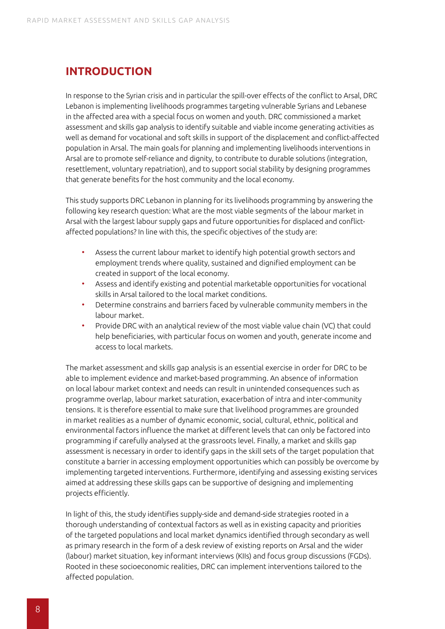## **INTRODUCTION**

In response to the Syrian crisis and in particular the spill-over effects of the conflict to Arsal, DRC Lebanon is implementing livelihoods programmes targeting vulnerable Syrians and Lebanese in the affected area with a special focus on women and youth. DRC commissioned a market assessment and skills gap analysis to identify suitable and viable income generating activities as well as demand for vocational and soft skills in support of the displacement and conflict-affected population in Arsal. The main goals for planning and implementing livelihoods interventions in Arsal are to promote self-reliance and dignity, to contribute to durable solutions (integration, resettlement, voluntary repatriation), and to support social stability by designing programmes that generate benefits for the host community and the local economy.

This study supports DRC Lebanon in planning for its livelihoods programming by answering the following key research question: What are the most viable segments of the labour market in Arsal with the largest labour supply gaps and future opportunities for displaced and conflictaffected populations? In line with this, the specific objectives of the study are:

- Assess the current labour market to identify high potential growth sectors and employment trends where quality, sustained and dignified employment can be created in support of the local economy.
- Assess and identify existing and potential marketable opportunities for vocational skills in Arsal tailored to the local market conditions.
- Determine constrains and barriers faced by vulnerable community members in the labour market.
- Provide DRC with an analytical review of the most viable value chain (VC) that could help beneficiaries, with particular focus on women and youth, generate income and access to local markets.

The market assessment and skills gap analysis is an essential exercise in order for DRC to be able to implement evidence and market-based programming. An absence of information on local labour market context and needs can result in unintended consequences such as programme overlap, labour market saturation, exacerbation of intra and inter-community tensions. It is therefore essential to make sure that livelihood programmes are grounded in market realities as a number of dynamic economic, social, cultural, ethnic, political and environmental factors influence the market at different levels that can only be factored into programming if carefully analysed at the grassroots level. Finally, a market and skills gap assessment is necessary in order to identify gaps in the skill sets of the target population that constitute a barrier in accessing employment opportunities which can possibly be overcome by implementing targeted interventions. Furthermore, identifying and assessing existing services aimed at addressing these skills gaps can be supportive of designing and implementing projects efficiently.

In light of this, the study identifies supply-side and demand-side strategies rooted in a thorough understanding of contextual factors as well as in existing capacity and priorities of the targeted populations and local market dynamics identified through secondary as well as primary research in the form of a desk review of existing reports on Arsal and the wider (labour) market situation, key informant interviews (KIIs) and focus group discussions (FGDs). Rooted in these socioeconomic realities, DRC can implement interventions tailored to the affected population.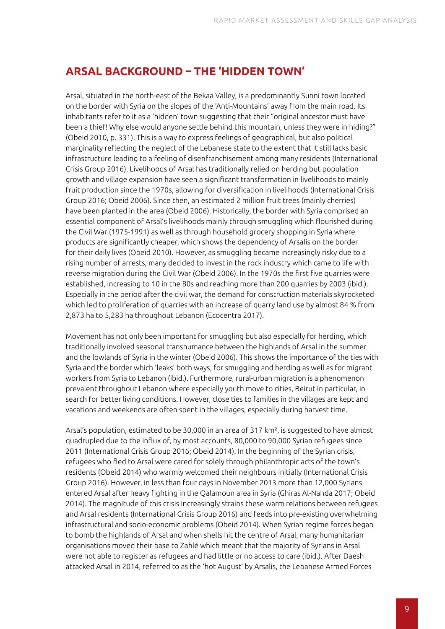# **ARSAL BACKGROUND – THE 'HIDDEN TOWN'**

Arsal, situated in the north-east of the Bekaa Valley, is a predominantly Sunni town located on the border with Syria on the slopes of the 'Anti-Mountains' away from the main road. Its inhabitants refer to it as a 'hidden' town suggesting that their "original ancestor must have been a thief! Why else would anyone settle behind this mountain, unless they were in hiding?" (Obeid 2010, p. 331). This is a way to express feelings of geographical, but also political marginality reflecting the neglect of the Lebanese state to the extent that it still lacks basic infrastructure leading to a feeling of disenfranchisement among many residents (International Crisis Group 2016). Livelihoods of Arsal has traditionally relied on herding but population growth and village expansion have seen a significant transformation in livelihoods to mainly fruit production since the 1970s, allowing for diversification in livelihoods (International Crisis Group 2016; Obeid 2006). Since then, an estimated 2 million fruit trees (mainly cherries) have been planted in the area (Obeid 2006). Historically, the border with Syria comprised an essential component of Arsal's livelihoods mainly through smuggling which flourished during the Civil War (1975-1991) as well as through household grocery shopping in Syria where products are significantly cheaper, which shows the dependency of Arsalis on the border for their daily lives (Obeid 2010). However, as smuggling became increasingly risky due to a rising number of arrests, many decided to invest in the rock industry which came to life with reverse migration during the Civil War (Obeid 2006). In the 1970s the first five quarries were established, increasing to 10 in the 80s and reaching more than 200 quarries by 2003 (ibid.). Especially in the period after the civil war, the demand for construction materials skyrocketed which led to proliferation of quarries with an increase of quarry land use by almost 84 % from 2,873 ha to 5,283 ha throughout Lebanon (Ecocentra 2017).

Movement has not only been important for smuggling but also especially for herding, which traditionally involved seasonal transhumance between the highlands of Arsal in the summer and the lowlands of Syria in the winter (Obeid 2006). This shows the importance of the ties with Syria and the border which 'leaks' both ways, for smuggling and herding as well as for migrant workers from Syria to Lebanon (ibid.). Furthermore, rural-urban migration is a phenomenon prevalent throughout Lebanon where especially youth move to cities, Beirut in particular, in search for better living conditions. However, close ties to families in the villages are kept and vacations and weekends are often spent in the villages, especially during harvest time.

Arsal's population, estimated to be 30,000 in an area of 317 km², is suggested to have almost quadrupled due to the influx of, by most accounts, 80,000 to 90,000 Syrian refugees since 2011 (International Crisis Group 2016; Obeid 2014). In the beginning of the Syrian crisis, refugees who fled to Arsal were cared for solely through philanthropic acts of the town's residents (Obeid 2014) who warmly welcomed their neighbours initially (International Crisis Group 2016). However, in less than four days in November 2013 more than 12,000 Syrians entered Arsal after heavy fighting in the Qalamoun area in Syria (Ghiras Al-Nahda 2017; Obeid 2014). The magnitude of this crisis increasingly strains these warm relations between refugees and Arsal residents (International Crisis Group 2016) and feeds into pre-existing overwhelming infrastructural and socio-economic problems (Obeid 2014). When Syrian regime forces began to bomb the highlands of Arsal and when shells hit the centre of Arsal, many humanitarian organisations moved their base to Zahlé which meant that the majority of Syrians in Arsal were not able to register as refugees and had little or no access to care (ibid.). After Daesh attacked Arsal in 2014, referred to as the 'hot August' by Arsalis, the Lebanese Armed Forces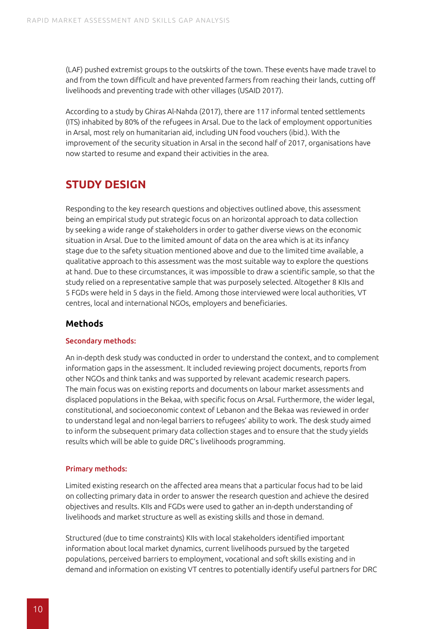(LAF) pushed extremist groups to the outskirts of the town. These events have made travel to and from the town difficult and have prevented farmers from reaching their lands, cutting off livelihoods and preventing trade with other villages (USAID 2017).

According to a study by Ghiras Al-Nahda (2017), there are 117 informal tented settlements (ITS) inhabited by 80% of the refugees in Arsal. Due to the lack of employment opportunities in Arsal, most rely on humanitarian aid, including UN food vouchers (ibid.). With the improvement of the security situation in Arsal in the second half of 2017, organisations have now started to resume and expand their activities in the area.

# **STUDY DESIGN**

Responding to the key research questions and objectives outlined above, this assessment being an empirical study put strategic focus on an horizontal approach to data collection by seeking a wide range of stakeholders in order to gather diverse views on the economic situation in Arsal. Due to the limited amount of data on the area which is at its infancy stage due to the safety situation mentioned above and due to the limited time available, a qualitative approach to this assessment was the most suitable way to explore the questions at hand. Due to these circumstances, it was impossible to draw a scientific sample, so that the study relied on a representative sample that was purposely selected. Altogether 8 KIIs and 5 FGDs were held in 5 days in the field. Among those interviewed were local authorities, VT centres, local and international NGOs, employers and beneficiaries.

#### **Methods**

#### Secondary methods:

An in-depth desk study was conducted in order to understand the context, and to complement information gaps in the assessment. It included reviewing project documents, reports from other NGOs and think tanks and was supported by relevant academic research papers. The main focus was on existing reports and documents on labour market assessments and displaced populations in the Bekaa, with specific focus on Arsal. Furthermore, the wider legal, constitutional, and socioeconomic context of Lebanon and the Bekaa was reviewed in order to understand legal and non-legal barriers to refugees' ability to work. The desk study aimed to inform the subsequent primary data collection stages and to ensure that the study yields results which will be able to guide DRC's livelihoods programming.

#### Primary methods:

Limited existing research on the affected area means that a particular focus had to be laid on collecting primary data in order to answer the research question and achieve the desired objectives and results. KIIs and FGDs were used to gather an in-depth understanding of livelihoods and market structure as well as existing skills and those in demand.

Structured (due to time constraints) KIIs with local stakeholders identified important information about local market dynamics, current livelihoods pursued by the targeted populations, perceived barriers to employment, vocational and soft skills existing and in demand and information on existing VT centres to potentially identify useful partners for DRC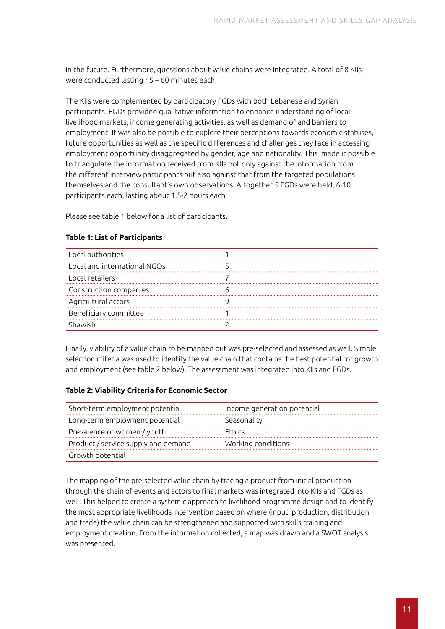in the future. Furthermore, questions about value chains were integrated. A total of 8 KIIs were conducted lasting 45 – 60 minutes each.

The KIIs were complemented by participatory FGDs with both Lebanese and Syrian participants. FGDs provided qualitative information to enhance understanding of local livelihood markets, income generating activities, as well as demand of and barriers to employment. It was also be possible to explore their perceptions towards economic statuses, future opportunities as well as the specific differences and challenges they face in accessing employment opportunity disaggregated by gender, age and nationality. This made it possible to triangulate the information received from KIIs not only against the information from the different interview participants but also against that from the targeted populations themselves and the consultant's own observations. Altogether 5 FGDs were held, 6-10 participants each, lasting about 1.5-2 hours each.

Please see table 1 below for a list of participants.

| Local authorities            |  |
|------------------------------|--|
| Local and international NGOs |  |
| Local retailers              |  |
| Construction companies       |  |
| Agricultural actors          |  |
| Beneficiary committee        |  |
| Shawish                      |  |

#### **Table 1: List of Participants**

Finally, viability of a value chain to be mapped out was pre-selected and assessed as well. Simple selection criteria was used to identify the value chain that contains the best potential for growth and employment (see table 2 below). The assessment was integrated into KIIs and FGDs.

#### **Table 2: Viability Criteria for Economic Sector**

| Short-term employment potential     | Income generation potential |
|-------------------------------------|-----------------------------|
| Long-term employment potential      | Seasonality                 |
| Prevalence of women / youth         | <b>Frhics</b>               |
| Product / service supply and demand | Working conditions          |
| Growth potential                    |                             |

The mapping of the pre-selected value chain by tracing a product from initial production through the chain of events and actors to final markets was integrated into KIIs and FGDs as well. This helped to create a systemic approach to livelihood programme design and to identify the most appropriate livelihoods intervention based on where (input, production, distribution, and trade) the value chain can be strengthened and supported with skills training and employment creation. From the information collected, a map was drawn and a SWOT analysis was presented.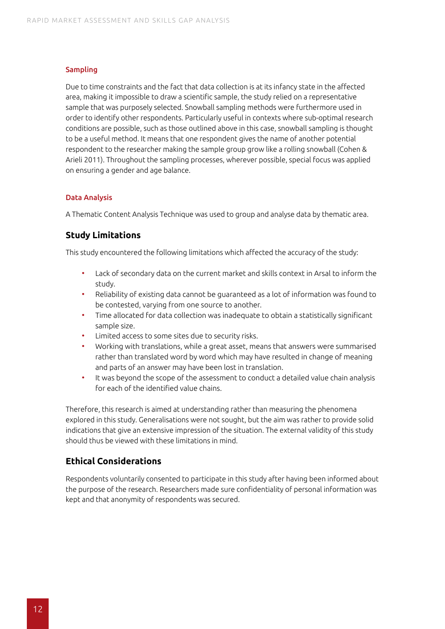#### Sampling

Due to time constraints and the fact that data collection is at its infancy state in the affected area, making it impossible to draw a scientific sample, the study relied on a representative sample that was purposely selected. Snowball sampling methods were furthermore used in order to identify other respondents. Particularly useful in contexts where sub-optimal research conditions are possible, such as those outlined above in this case, snowball sampling is thought to be a useful method. It means that one respondent gives the name of another potential respondent to the researcher making the sample group grow like a rolling snowball (Cohen & Arieli 2011). Throughout the sampling processes, wherever possible, special focus was applied on ensuring a gender and age balance.

#### Data Analysis

A Thematic Content Analysis Technique was used to group and analyse data by thematic area.

#### **Study Limitations**

This study encountered the following limitations which affected the accuracy of the study:

- Lack of secondary data on the current market and skills context in Arsal to inform the study.
- Reliability of existing data cannot be guaranteed as a lot of information was found to be contested, varying from one source to another.
- Time allocated for data collection was inadequate to obtain a statistically significant sample size.
- Limited access to some sites due to security risks.
- Working with translations, while a great asset, means that answers were summarised rather than translated word by word which may have resulted in change of meaning and parts of an answer may have been lost in translation.
- It was beyond the scope of the assessment to conduct a detailed value chain analysis for each of the identified value chains.

Therefore, this research is aimed at understanding rather than measuring the phenomena explored in this study. Generalisations were not sought, but the aim was rather to provide solid indications that give an extensive impression of the situation. The external validity of this study should thus be viewed with these limitations in mind.

#### **Ethical Considerations**

Respondents voluntarily consented to participate in this study after having been informed about the purpose of the research. Researchers made sure confidentiality of personal information was kept and that anonymity of respondents was secured.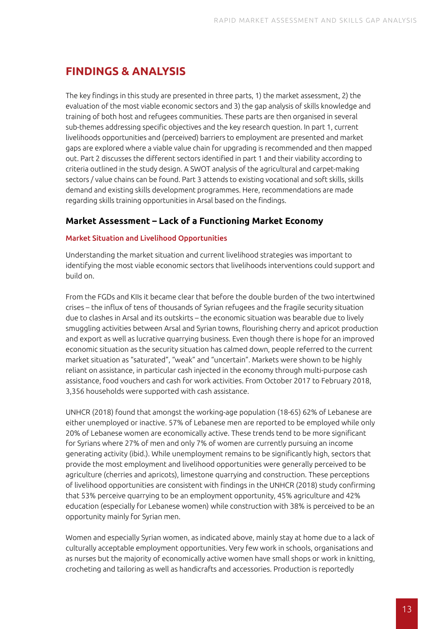# **FINDINGS & ANALYSIS**

The key findings in this study are presented in three parts, 1) the market assessment, 2) the evaluation of the most viable economic sectors and 3) the gap analysis of skills knowledge and training of both host and refugees communities. These parts are then organised in several sub-themes addressing specific objectives and the key research question. In part 1, current livelihoods opportunities and (perceived) barriers to employment are presented and market gaps are explored where a viable value chain for upgrading is recommended and then mapped out. Part 2 discusses the different sectors identified in part 1 and their viability according to criteria outlined in the study design. A SWOT analysis of the agricultural and carpet-making sectors / value chains can be found. Part 3 attends to existing vocational and soft skills, skills demand and existing skills development programmes. Here, recommendations are made regarding skills training opportunities in Arsal based on the findings.

#### **Market Assessment – Lack of a Functioning Market Economy**

#### Market Situation and Livelihood Opportunities

Understanding the market situation and current livelihood strategies was important to identifying the most viable economic sectors that livelihoods interventions could support and build on.

From the FGDs and KIIs it became clear that before the double burden of the two intertwined crises – the influx of tens of thousands of Syrian refugees and the fragile security situation due to clashes in Arsal and its outskirts – the economic situation was bearable due to lively smuggling activities between Arsal and Syrian towns, flourishing cherry and apricot production and export as well as lucrative quarrying business. Even though there is hope for an improved economic situation as the security situation has calmed down, people referred to the current market situation as "saturated", "weak" and "uncertain". Markets were shown to be highly reliant on assistance, in particular cash injected in the economy through multi-purpose cash assistance, food vouchers and cash for work activities. From October 2017 to February 2018, 3,356 households were supported with cash assistance.

UNHCR (2018) found that amongst the working-age population (18-65) 62% of Lebanese are either unemployed or inactive. 57% of Lebanese men are reported to be employed while only 20% of Lebanese women are economically active. These trends tend to be more significant for Syrians where 27% of men and only 7% of women are currently pursuing an income generating activity (ibid.). While unemployment remains to be significantly high, sectors that provide the most employment and livelihood opportunities were generally perceived to be agriculture (cherries and apricots), limestone quarrying and construction. These perceptions of livelihood opportunities are consistent with findings in the UNHCR (2018) study confirming that 53% perceive quarrying to be an employment opportunity, 45% agriculture and 42% education (especially for Lebanese women) while construction with 38% is perceived to be an opportunity mainly for Syrian men.

Women and especially Syrian women, as indicated above, mainly stay at home due to a lack of culturally acceptable employment opportunities. Very few work in schools, organisations and as nurses but the majority of economically active women have small shops or work in knitting, crocheting and tailoring as well as handicrafts and accessories. Production is reportedly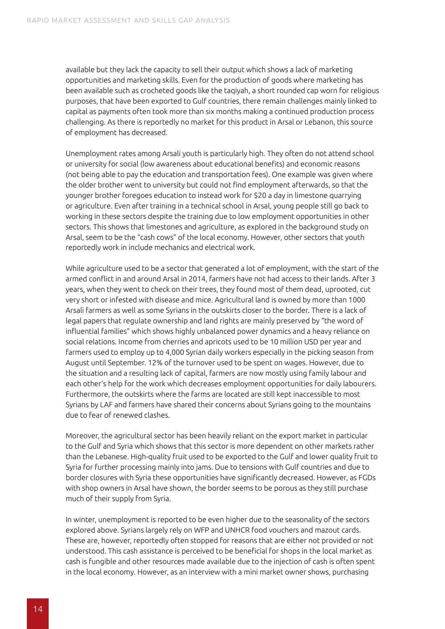available but they lack the capacity to sell their output which shows a lack of marketing opportunities and marketing skills. Even for the production of goods where marketing has been available such as crocheted goods like the taqiyah, a short rounded cap worn for religious purposes, that have been exported to Gulf countries, there remain challenges mainly linked to capital as payments often took more than six months making a continued production process challenging. As there is reportedly no market for this product in Arsal or Lebanon, this source of employment has decreased.

Unemployment rates among Arsali youth is particularly high. They often do not attend school or university for social (low awareness about educational benefits) and economic reasons (not being able to pay the education and transportation fees). One example was given where the older brother went to university but could not find employment afterwards, so that the younger brother foregoes education to instead work for \$20 a day in limestone quarrying or agriculture. Even after training in a technical school in Arsal, young people still go back to working in these sectors despite the training due to low employment opportunities in other sectors. This shows that limestones and agriculture, as explored in the background study on Arsal, seem to be the "cash cows" of the local economy. However, other sectors that youth reportedly work in include mechanics and electrical work.

While agriculture used to be a sector that generated a lot of employment, with the start of the armed conflict in and around Arsal in 2014, farmers have not had access to their lands. After 3 years, when they went to check on their trees, they found most of them dead, uprooted, cut very short or infested with disease and mice. Agricultural land is owned by more than 1000 Arsali farmers as well as some Syrians in the outskirts closer to the border. There is a lack of legal papers that regulate ownership and land rights are mainly preserved by "the word of influential families" which shows highly unbalanced power dynamics and a heavy reliance on social relations. Income from cherries and apricots used to be 10 million USD per year and farmers used to employ up to 4,000 Syrian daily workers especially in the picking season from August until September. 12% of the turnover used to be spent on wages. However, due to the situation and a resulting lack of capital, farmers are now mostly using family labour and each other's help for the work which decreases employment opportunities for daily labourers. Furthermore, the outskirts where the farms are located are still kept inaccessible to most Syrians by LAF and farmers have shared their concerns about Syrians going to the mountains due to fear of renewed clashes.

Moreover, the agricultural sector has been heavily reliant on the export market in particular to the Gulf and Syria which shows that this sector is more dependent on other markets rather than the Lebanese. High-quality fruit used to be exported to the Gulf and lower quality fruit to Syria for further processing mainly into jams. Due to tensions with Gulf countries and due to border closures with Syria these opportunities have significantly decreased. However, as FGDs with shop owners in Arsal have shown, the border seems to be porous as they still purchase much of their supply from Syria.

In winter, unemployment is reported to be even higher due to the seasonality of the sectors explored above. Syrians largely rely on WFP and UNHCR food vouchers and mazout cards. These are, however, reportedly often stopped for reasons that are either not provided or not understood. This cash assistance is perceived to be beneficial for shops in the local market as cash is fungible and other resources made available due to the injection of cash is often spent in the local economy. However, as an interview with a mini market owner shows, purchasing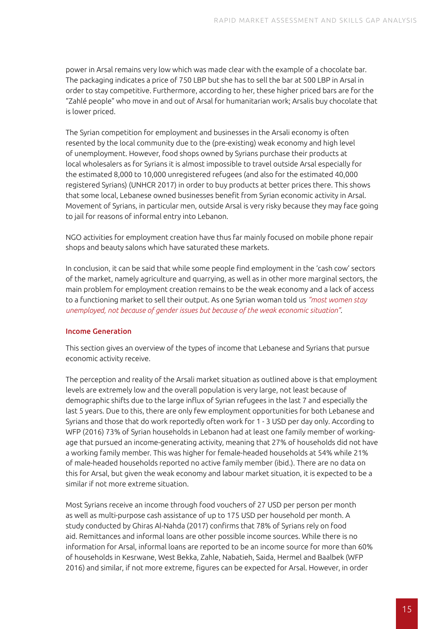power in Arsal remains very low which was made clear with the example of a chocolate bar. The packaging indicates a price of 750 LBP but she has to sell the bar at 500 LBP in Arsal in order to stay competitive. Furthermore, according to her, these higher priced bars are for the "Zahlé people" who move in and out of Arsal for humanitarian work; Arsalis buy chocolate that is lower priced.

The Syrian competition for employment and businesses in the Arsali economy is often resented by the local community due to the (pre-existing) weak economy and high level of unemployment. However, food shops owned by Syrians purchase their products at local wholesalers as for Syrians it is almost impossible to travel outside Arsal especially for the estimated 8,000 to 10,000 unregistered refugees (and also for the estimated 40,000 registered Syrians) (UNHCR 2017) in order to buy products at better prices there. This shows that some local, Lebanese owned businesses benefit from Syrian economic activity in Arsal. Movement of Syrians, in particular men, outside Arsal is very risky because they may face going to jail for reasons of informal entry into Lebanon.

NGO activities for employment creation have thus far mainly focused on mobile phone repair shops and beauty salons which have saturated these markets.

In conclusion, it can be said that while some people find employment in the 'cash cow' sectors of the market, namely agriculture and quarrying, as well as in other more marginal sectors, the main problem for employment creation remains to be the weak economy and a lack of access to a functioning market to sell their output. As one Syrian woman told us *"most women stay unemployed, not because of gender issues but because of the weak economic situation"*.

#### Income Generation

This section gives an overview of the types of income that Lebanese and Syrians that pursue economic activity receive.

The perception and reality of the Arsali market situation as outlined above is that employment levels are extremely low and the overall population is very large, not least because of demographic shifts due to the large influx of Syrian refugees in the last 7 and especially the last 5 years. Due to this, there are only few employment opportunities for both Lebanese and Syrians and those that do work reportedly often work for 1 - 3 USD per day only. According to WFP (2016) 73% of Syrian households in Lebanon had at least one family member of workingage that pursued an income-generating activity, meaning that 27% of households did not have a working family member. This was higher for female-headed households at 54% while 21% of male-headed households reported no active family member (ibid.). There are no data on this for Arsal, but given the weak economy and labour market situation, it is expected to be a similar if not more extreme situation.

Most Syrians receive an income through food vouchers of 27 USD per person per month as well as multi-purpose cash assistance of up to 175 USD per household per month. A study conducted by Ghiras Al-Nahda (2017) confirms that 78% of Syrians rely on food aid. Remittances and informal loans are other possible income sources. While there is no information for Arsal, informal loans are reported to be an income source for more than 60% of households in Kesrwane, West Bekka, Zahle, Nabatieh, Saida, Hermel and Baalbek (WFP 2016) and similar, if not more extreme, figures can be expected for Arsal. However, in order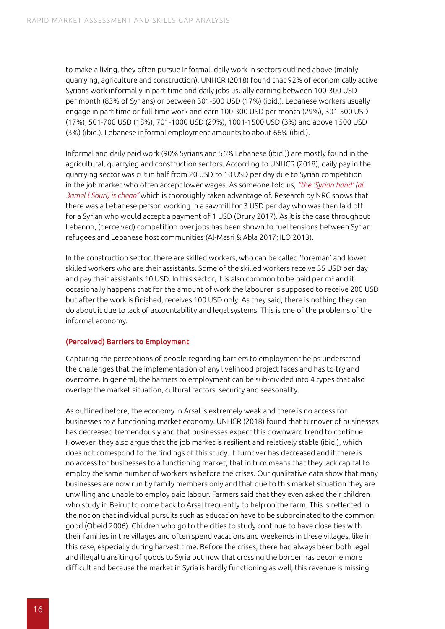to make a living, they often pursue informal, daily work in sectors outlined above (mainly quarrying, agriculture and construction). UNHCR (2018) found that 92% of economically active Syrians work informally in part-time and daily jobs usually earning between 100-300 USD per month (83% of Syrians) or between 301-500 USD (17%) (ibid.). Lebanese workers usually engage in part-time or full-time work and earn 100-300 USD per month (29%), 301-500 USD (17%), 501-700 USD (18%), 701-1000 USD (29%), 1001-1500 USD (3%) and above 1500 USD (3%) (ibid.). Lebanese informal employment amounts to about 66% (ibid.).

Informal and daily paid work (90% Syrians and 56% Lebanese (ibid.)) are mostly found in the agricultural, quarrying and construction sectors. According to UNHCR (2018), daily pay in the quarrying sector was cut in half from 20 USD to 10 USD per day due to Syrian competition in the job market who often accept lower wages. As someone told us, *"the 'Syrian hand' (al 3amel l Souri) is cheap"* which is thoroughly taken advantage of. Research by NRC shows that there was a Lebanese person working in a sawmill for 3 USD per day who was then laid off for a Syrian who would accept a payment of 1 USD (Drury 2017). As it is the case throughout Lebanon, (perceived) competition over jobs has been shown to fuel tensions between Syrian refugees and Lebanese host communities (Al-Masri & Abla 2017; ILO 2013).

In the construction sector, there are skilled workers, who can be called 'foreman' and lower skilled workers who are their assistants. Some of the skilled workers receive 35 USD per day and pay their assistants 10 USD. In this sector, it is also common to be paid per m² and it occasionally happens that for the amount of work the labourer is supposed to receive 200 USD but after the work is finished, receives 100 USD only. As they said, there is nothing they can do about it due to lack of accountability and legal systems. This is one of the problems of the informal economy.

#### (Perceived) Barriers to Employment

Capturing the perceptions of people regarding barriers to employment helps understand the challenges that the implementation of any livelihood project faces and has to try and overcome. In general, the barriers to employment can be sub-divided into 4 types that also overlap: the market situation, cultural factors, security and seasonality.

As outlined before, the economy in Arsal is extremely weak and there is no access for businesses to a functioning market economy. UNHCR (2018) found that turnover of businesses has decreased tremendously and that businesses expect this downward trend to continue. However, they also argue that the job market is resilient and relatively stable (ibid.), which does not correspond to the findings of this study. If turnover has decreased and if there is no access for businesses to a functioning market, that in turn means that they lack capital to employ the same number of workers as before the crises. Our qualitative data show that many businesses are now run by family members only and that due to this market situation they are unwilling and unable to employ paid labour. Farmers said that they even asked their children who study in Beirut to come back to Arsal frequently to help on the farm. This is reflected in the notion that individual pursuits such as education have to be subordinated to the common good (Obeid 2006). Children who go to the cities to study continue to have close ties with their families in the villages and often spend vacations and weekends in these villages, like in this case, especially during harvest time. Before the crises, there had always been both legal and illegal transiting of goods to Syria but now that crossing the border has become more difficult and because the market in Syria is hardly functioning as well, this revenue is missing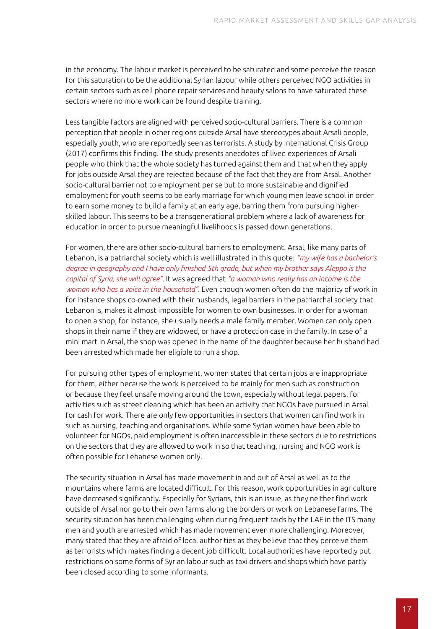in the economy. The labour market is perceived to be saturated and some perceive the reason for this saturation to be the additional Syrian labour while others perceived NGO activities in certain sectors such as cell phone repair services and beauty salons to have saturated these sectors where no more work can be found despite training.

Less tangible factors are aligned with perceived socio-cultural barriers. There is a common perception that people in other regions outside Arsal have stereotypes about Arsali people, especially youth, who are reportedly seen as terrorists. A study by International Crisis Group (2017) confirms this finding. The study presents anecdotes of lived experiences of Arsali people who think that the whole society has turned against them and that when they apply for jobs outside Arsal they are rejected because of the fact that they are from Arsal. Another socio-cultural barrier not to employment per se but to more sustainable and dignified employment for youth seems to be early marriage for which young men leave school in order to earn some money to build a family at an early age, barring them from pursuing higherskilled labour. This seems to be a transgenerational problem where a lack of awareness for education in order to pursue meaningful livelihoods is passed down generations.

For women, there are other socio-cultural barriers to employment. Arsal, like many parts of Lebanon, is a patriarchal society which is well illustrated in this quote: *"my wife has a bachelor's degree in geography and I have only finished 5th grade, but when my brother says Aleppo is the capital of Syria, she will agree"*. It was agreed that *"a woman who really has an income is the woman who has a voice in the household"*. Even though women often do the majority of work in for instance shops co-owned with their husbands, legal barriers in the patriarchal society that Lebanon is, makes it almost impossible for women to own businesses. In order for a woman to open a shop, for instance, she usually needs a male family member. Women can only open shops in their name if they are widowed, or have a protection case in the family. In case of a mini mart in Arsal, the shop was opened in the name of the daughter because her husband had been arrested which made her eligible to run a shop.

For pursuing other types of employment, women stated that certain jobs are inappropriate for them, either because the work is perceived to be mainly for men such as construction or because they feel unsafe moving around the town, especially without legal papers, for activities such as street cleaning which has been an activity that NGOs have pursued in Arsal for cash for work. There are only few opportunities in sectors that women can find work in such as nursing, teaching and organisations. While some Syrian women have been able to volunteer for NGOs, paid employment is often inaccessible in these sectors due to restrictions on the sectors that they are allowed to work in so that teaching, nursing and NGO work is often possible for Lebanese women only.

The security situation in Arsal has made movement in and out of Arsal as well as to the mountains where farms are located difficult. For this reason, work opportunities in agriculture have decreased significantly. Especially for Syrians, this is an issue, as they neither find work outside of Arsal nor go to their own farms along the borders or work on Lebanese farms. The security situation has been challenging when during frequent raids by the LAF in the ITS many men and youth are arrested which has made movement even more challenging. Moreover, many stated that they are afraid of local authorities as they believe that they perceive them as terrorists which makes finding a decent job difficult. Local authorities have reportedly put restrictions on some forms of Syrian labour such as taxi drivers and shops which have partly been closed according to some informants.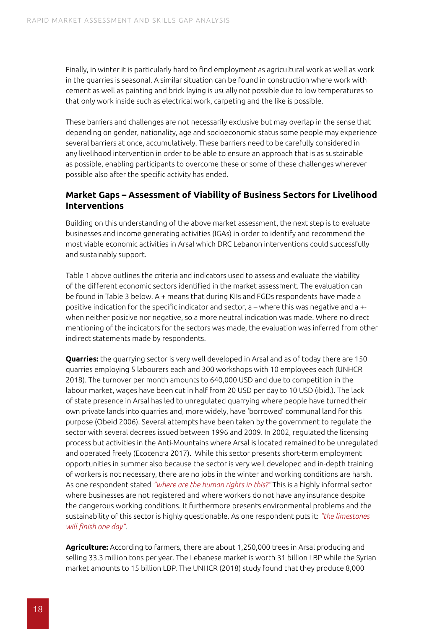Finally, in winter it is particularly hard to find employment as agricultural work as well as work in the quarries is seasonal. A similar situation can be found in construction where work with cement as well as painting and brick laying is usually not possible due to low temperatures so that only work inside such as electrical work, carpeting and the like is possible.

These barriers and challenges are not necessarily exclusive but may overlap in the sense that depending on gender, nationality, age and socioeconomic status some people may experience several barriers at once, accumulatively. These barriers need to be carefully considered in any livelihood intervention in order to be able to ensure an approach that is as sustainable as possible, enabling participants to overcome these or some of these challenges wherever possible also after the specific activity has ended.

#### **Market Gaps – Assessment of Viability of Business Sectors for Livelihood Interventions**

Building on this understanding of the above market assessment, the next step is to evaluate businesses and income generating activities (IGAs) in order to identify and recommend the most viable economic activities in Arsal which DRC Lebanon interventions could successfully and sustainably support.

Table 1 above outlines the criteria and indicators used to assess and evaluate the viability of the different economic sectors identified in the market assessment. The evaluation can be found in Table 3 below. A + means that during KIIs and FGDs respondents have made a positive indication for the specific indicator and sector, a – where this was negative and a + when neither positive nor negative, so a more neutral indication was made. Where no direct mentioning of the indicators for the sectors was made, the evaluation was inferred from other indirect statements made by respondents.

**Quarries:** the quarrying sector is very well developed in Arsal and as of today there are 150 quarries employing 5 labourers each and 300 workshops with 10 employees each (UNHCR 2018). The turnover per month amounts to 640,000 USD and due to competition in the labour market, wages have been cut in half from 20 USD per day to 10 USD (ibid.). The lack of state presence in Arsal has led to unregulated quarrying where people have turned their own private lands into quarries and, more widely, have 'borrowed' communal land for this purpose (Obeid 2006). Several attempts have been taken by the government to regulate the sector with several decrees issued between 1996 and 2009. In 2002, regulated the licensing process but activities in the Anti-Mountains where Arsal is located remained to be unregulated and operated freely (Ecocentra 2017). While this sector presents short-term employment opportunities in summer also because the sector is very well developed and in-depth training of workers is not necessary, there are no jobs in the winter and working conditions are harsh. As one respondent stated *"where are the human rights in this?"* This is a highly informal sector where businesses are not registered and where workers do not have any insurance despite the dangerous working conditions. It furthermore presents environmental problems and the sustainability of this sector is highly questionable. As one respondent puts it: *"the limestones will finish one day"*.

**Agriculture:** According to farmers, there are about 1,250,000 trees in Arsal producing and selling 33.3 million tons per year. The Lebanese market is worth 31 billion LBP while the Syrian market amounts to 15 billion LBP. The UNHCR (2018) study found that they produce 8,000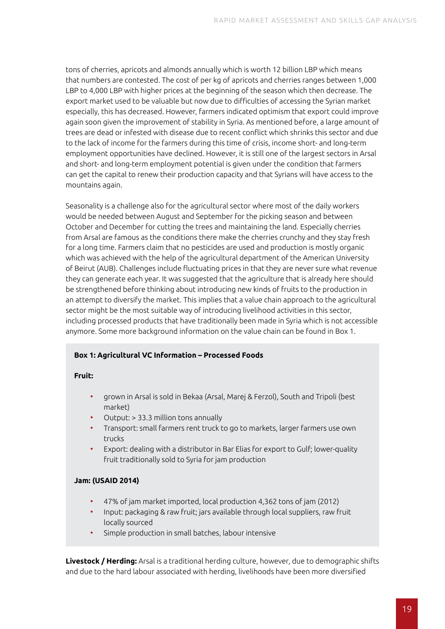tons of cherries, apricots and almonds annually which is worth 12 billion LBP which means that numbers are contested. The cost of per kg of apricots and cherries ranges between 1,000 LBP to 4,000 LBP with higher prices at the beginning of the season which then decrease. The export market used to be valuable but now due to difficulties of accessing the Syrian market especially, this has decreased. However, farmers indicated optimism that export could improve again soon given the improvement of stability in Syria. As mentioned before, a large amount of trees are dead or infested with disease due to recent conflict which shrinks this sector and due to the lack of income for the farmers during this time of crisis, income short- and long-term employment opportunities have declined. However, it is still one of the largest sectors in Arsal and short- and long-term employment potential is given under the condition that farmers can get the capital to renew their production capacity and that Syrians will have access to the mountains again.

Seasonality is a challenge also for the agricultural sector where most of the daily workers would be needed between August and September for the picking season and between October and December for cutting the trees and maintaining the land. Especially cherries from Arsal are famous as the conditions there make the cherries crunchy and they stay fresh for a long time. Farmers claim that no pesticides are used and production is mostly organic which was achieved with the help of the agricultural department of the American University of Beirut (AUB). Challenges include fluctuating prices in that they are never sure what revenue they can generate each year. It was suggested that the agriculture that is already here should be strengthened before thinking about introducing new kinds of fruits to the production in an attempt to diversify the market. This implies that a value chain approach to the agricultural sector might be the most suitable way of introducing livelihood activities in this sector, including processed products that have traditionally been made in Syria which is not accessible anymore. Some more background information on the value chain can be found in Box 1.

#### **Box 1: Agricultural VC Information – Processed Foods**

#### **Fruit:**

- grown in Arsal is sold in Bekaa (Arsal, Marej & Ferzol), South and Tripoli (best market)
- Output: > 33.3 million tons annually
- Transport: small farmers rent truck to go to markets, larger farmers use own trucks
- Export: dealing with a distributor in Bar Elias for export to Gulf; lower-quality fruit traditionally sold to Syria for jam production

#### **Jam: (USAID 2014)**

- 47% of jam market imported, local production 4,362 tons of jam (2012)
- Input: packaging & raw fruit; jars available through local suppliers, raw fruit locally sourced
- Simple production in small batches, labour intensive

**Livestock / Herding:** Arsal is a traditional herding culture, however, due to demographic shifts and due to the hard labour associated with herding, livelihoods have been more diversified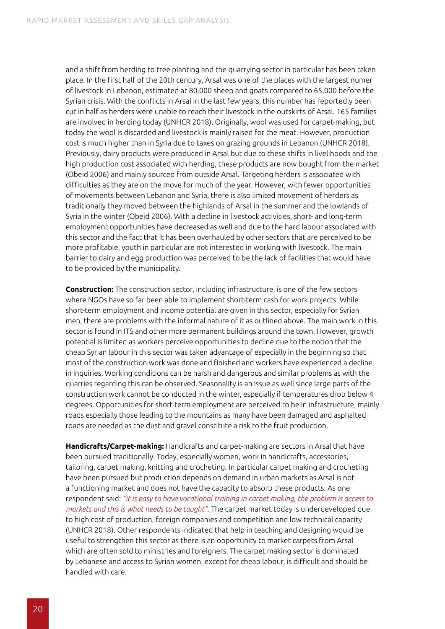and a shift from herding to tree planting and the quarrying sector in particular has been taken place. In the first half of the 20th century, Arsal was one of the places with the largest numer of livestock in Lebanon, estimated at 80,000 sheep and goats compared to 65,000 before the Syrian crisis. With the conflicts in Arsal in the last few years, this number has reportedly been cut in half as herders were unable to reach their livestock in the outskirts of Arsal. 165 families are involved in herding today (UNHCR 2018). Originally, wool was used for carpet-making, but today the wool is discarded and livestock is mainly raised for the meat. However, production cost is much higher than in Syria due to taxes on grazing grounds in Lebanon (UNHCR 2018). Previously, dairy products were produced in Arsal but due to these shifts in livelihoods and the high production cost associated with herding, these products are now bought from the market (Obeid 2006) and mainly sourced from outside Arsal. Targeting herders is associated with difficulties as they are on the move for much of the year. However, with fewer opportunities of movements between Lebanon and Syria, there is also limited movement of herders as traditionally they moved between the highlands of Arsal in the summer and the lowlands of Syria in the winter (Obeid 2006). With a decline in livestock activities, short- and long-term employment opportunities have decreased as well and due to the hard labour associated with this sector and the fact that it has been overhauled by other sectors that are perceived to be more profitable, youth in particular are not interested in working with livestock. The main barrier to dairy and egg production was perceived to be the lack of facilities that would have to be provided by the municipality.

**Construction:** The construction sector, including infrastructure, is one of the few sectors where NGOs have so far been able to implement short-term cash for work projects. While short-term employment and income potential are given in this sector, especially for Syrian men, there are problems with the informal nature of it as outlined above. The main work in this sector is found in ITS and other more permanent buildings around the town. However, growth potential is limited as workers perceive opportunities to decline due to the notion that the cheap Syrian labour in this sector was taken advantage of especially in the beginning so that most of the construction work was done and finished and workers have experienced a decline in inquiries. Working conditions can be harsh and dangerous and similar problems as with the quarries regarding this can be observed. Seasonality is an issue as well since large parts of the construction work cannot be conducted in the winter, especially if temperatures drop below 4 degrees. Opportunities for short-term employment are perceived to be in infrastructure, mainly roads especially those leading to the mountains as many have been damaged and asphalted roads are needed as the dust and gravel constitute a risk to the fruit production.

**Handicrafts/Carpet-making:** Handicrafts and carpet-making are sectors in Arsal that have been pursued traditionally. Today, especially women, work in handicrafts, accessories, tailoring, carpet making, knitting and crocheting. In particular carpet making and crocheting have been pursued but production depends on demand in urban markets as Arsal is not a functioning market and does not have the capacity to absorb these products. As one respondent said: *"it is easy to have vocational training in carpet making, the problem is access to markets and this is what needs to be taught"*. The carpet market today is underdeveloped due to high cost of production, foreign companies and competition and low technical capacity (UNHCR 2018). Other respondents indicated that help in teaching and designing would be useful to strengthen this sector as there is an opportunity to market carpets from Arsal which are often sold to ministries and foreigners. The carpet making sector is dominated by Lebanese and access to Syrian women, except for cheap labour, is difficult and should be handled with care.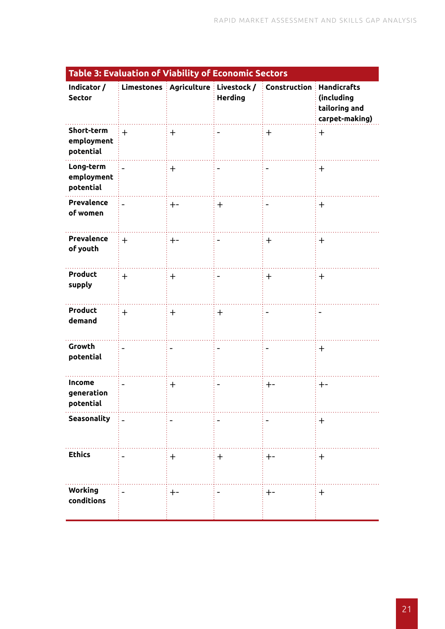| <b>Table 3: Evaluation of Viability of Economic Sectors</b> |           |         |                |                                                                                                               |                                               |  |
|-------------------------------------------------------------|-----------|---------|----------------|---------------------------------------------------------------------------------------------------------------|-----------------------------------------------|--|
| Indicator /<br><b>Sector</b>                                |           |         | <b>Herding</b> | $\exists$ Limestones $\exists$ Agriculture $\exists$ Livestock / $\exists$ Construction $\exists$ Handicrafts | (including<br>tailoring and<br>carpet-making) |  |
| Short-term<br>employment<br>potential                       | $+$       | $+$     |                | $+$                                                                                                           | $\pm$                                         |  |
| Long-term<br>employment<br>potential                        |           | $+$     | -              |                                                                                                               | $+$                                           |  |
| Prevalence<br>of women                                      |           | $+ -$   | $+$            |                                                                                                               | $+$                                           |  |
| Prevalence<br>of youth                                      | $\ddot{}$ | $+ -$   |                | $+$                                                                                                           | $+$                                           |  |
| Product<br>supply                                           | $\ddot{}$ | $\ddag$ | -              | $+$                                                                                                           | $+$                                           |  |
| <b>Product</b><br>demand                                    | $\ddot{}$ | $\ddag$ | $+$            |                                                                                                               | -                                             |  |
| Growth<br>potential                                         |           |         |                |                                                                                                               | $+$                                           |  |
| Income<br>generation<br>potential                           |           | $+$     |                | $+ -$                                                                                                         | $+ -$                                         |  |
| Seasonality                                                 |           |         |                |                                                                                                               | $+$                                           |  |
| <b>Ethics</b>                                               |           | $+$     | $\pm$          | $+ -$                                                                                                         | $+$                                           |  |
| Working<br>conditions                                       |           | : +−    |                | $+ -$                                                                                                         | $\pm$                                         |  |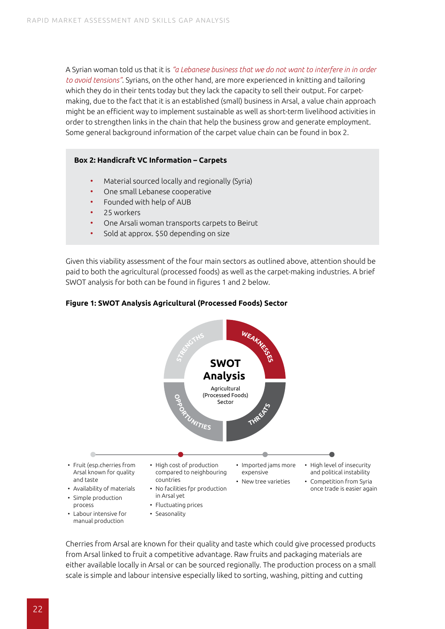A Syrian woman told us that it is *"a Lebanese business that we do not want to interfere in in order to avoid tensions"*. Syrians, on the other hand, are more experienced in knitting and tailoring which they do in their tents today but they lack the capacity to sell their output. For carpetmaking, due to the fact that it is an established (small) business in Arsal, a value chain approach might be an efficient way to implement sustainable as well as short-term livelihood activities in order to strengthen links in the chain that help the business grow and generate employment. Some general background information of the carpet value chain can be found in box 2.

#### **Box 2: Handicraft VC Information – Carpets**

- Material sourced locally and regionally (Syria)
- One small Lebanese cooperative
- Founded with help of AUB
- 25 workers
- One Arsali woman transports carpets to Beirut
- Sold at approx. \$50 depending on size

Given this viability assessment of the four main sectors as outlined above, attention should be paid to both the agricultural (processed foods) as well as the carpet-making industries. A brief SWOT analysis for both can be found in figures 1 and 2 below.





Cherries from Arsal are known for their quality and taste which could give processed products from Arsal linked to fruit a competitive advantage. Raw fruits and packaging materials are either available locally in Arsal or can be sourced regionally. The production process on a small scale is simple and labour intensive especially liked to sorting, washing, pitting and cutting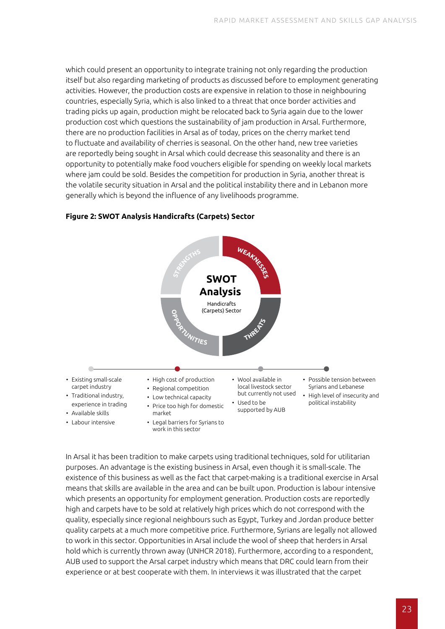which could present an opportunity to integrate training not only regarding the production itself but also regarding marketing of products as discussed before to employment generating activities. However, the production costs are expensive in relation to those in neighbouring countries, especially Syria, which is also linked to a threat that once border activities and trading picks up again, production might be relocated back to Syria again due to the lower production cost which questions the sustainability of jam production in Arsal. Furthermore, there are no production facilities in Arsal as of today, prices on the cherry market tend to fluctuate and availability of cherries is seasonal. On the other hand, new tree varieties are reportedly being sought in Arsal which could decrease this seasonality and there is an opportunity to potentially make food vouchers eligible for spending on weekly local markets where jam could be sold. Besides the competition for production in Syria, another threat is the volatile security situation in Arsal and the political instability there and in Lebanon more generally which is beyond the influence of any livelihoods programme.



#### **Figure 2: SWOT Analysis Handicrafts (Carpets) Sector**

In Arsal it has been tradition to make carpets using traditional techniques, sold for utilitarian purposes. An advantage is the existing business in Arsal, even though it is small-scale. The existence of this business as well as the fact that carpet-making is a traditional exercise in Arsal means that skills are available in the area and can be built upon. Production is labour intensive which presents an opportunity for employment generation. Production costs are reportedly high and carpets have to be sold at relatively high prices which do not correspond with the quality, especially since regional neighbours such as Egypt, Turkey and Jordan produce better quality carpets at a much more competitive price. Furthermore, Syrians are legally not allowed to work in this sector. Opportunities in Arsal include the wool of sheep that herders in Arsal hold which is currently thrown away (UNHCR 2018). Furthermore, according to a respondent, AUB used to support the Arsal carpet industry which means that DRC could learn from their experience or at best cooperate with them. In interviews it was illustrated that the carpet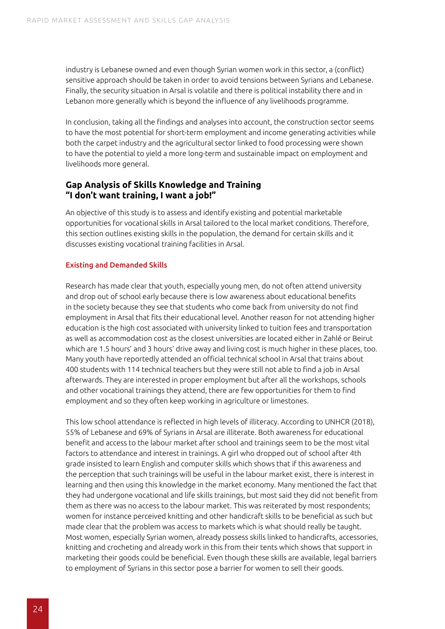industry is Lebanese owned and even though Syrian women work in this sector, a (conflict) sensitive approach should be taken in order to avoid tensions between Syrians and Lebanese. Finally, the security situation in Arsal is volatile and there is political instability there and in Lebanon more generally which is beyond the influence of any livelihoods programme.

In conclusion, taking all the findings and analyses into account, the construction sector seems to have the most potential for short-term employment and income generating activities while both the carpet industry and the agricultural sector linked to food processing were shown to have the potential to yield a more long-term and sustainable impact on employment and livelihoods more general.

#### **Gap Analysis of Skills Knowledge and Training "I don't want training, I want a job!"**

An objective of this study is to assess and identify existing and potential marketable opportunities for vocational skills in Arsal tailored to the local market conditions. Therefore, this section outlines existing skills in the population, the demand for certain skills and it discusses existing vocational training facilities in Arsal.

#### Existing and Demanded Skills

Research has made clear that youth, especially young men, do not often attend university and drop out of school early because there is low awareness about educational benefits in the society because they see that students who come back from university do not find employment in Arsal that fits their educational level. Another reason for not attending higher education is the high cost associated with university linked to tuition fees and transportation as well as accommodation cost as the closest universities are located either in Zahlé or Beirut which are 1.5 hours' and 3 hours' drive away and living cost is much higher in these places, too. Many youth have reportedly attended an official technical school in Arsal that trains about 400 students with 114 technical teachers but they were still not able to find a job in Arsal afterwards. They are interested in proper employment but after all the workshops, schools and other vocational trainings they attend, there are few opportunities for them to find employment and so they often keep working in agriculture or limestones.

This low school attendance is reflected in high levels of illiteracy. According to UNHCR (2018), 55% of Lebanese and 69% of Syrians in Arsal are illiterate. Both awareness for educational benefit and access to the labour market after school and trainings seem to be the most vital factors to attendance and interest in trainings. A girl who dropped out of school after 4th grade insisted to learn English and computer skills which shows that if this awareness and the perception that such trainings will be useful in the labour market exist, there is interest in learning and then using this knowledge in the market economy. Many mentioned the fact that they had undergone vocational and life skills trainings, but most said they did not benefit from them as there was no access to the labour market. This was reiterated by most respondents; women for instance perceived knitting and other handicraft skills to be beneficial as such but made clear that the problem was access to markets which is what should really be taught. Most women, especially Syrian women, already possess skills linked to handicrafts, accessories, knitting and crocheting and already work in this from their tents which shows that support in marketing their goods could be beneficial. Even though these skills are available, legal barriers to employment of Syrians in this sector pose a barrier for women to sell their goods.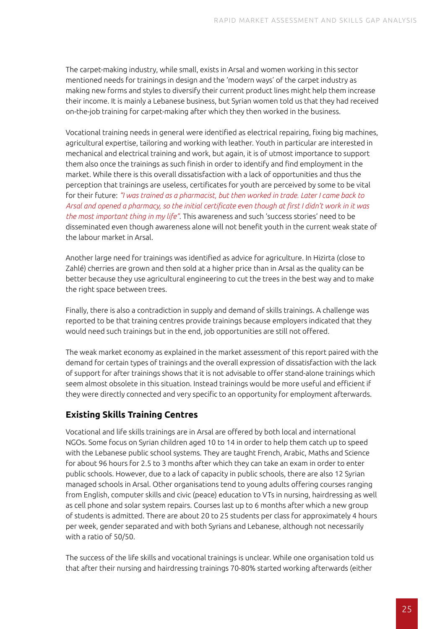The carpet-making industry, while small, exists in Arsal and women working in this sector mentioned needs for trainings in design and the 'modern ways' of the carpet industry as making new forms and styles to diversify their current product lines might help them increase their income. It is mainly a Lebanese business, but Syrian women told us that they had received on-the-job training for carpet-making after which they then worked in the business.

Vocational training needs in general were identified as electrical repairing, fixing big machines, agricultural expertise, tailoring and working with leather. Youth in particular are interested in mechanical and electrical training and work, but again, it is of utmost importance to support them also once the trainings as such finish in order to identify and find employment in the market. While there is this overall dissatisfaction with a lack of opportunities and thus the perception that trainings are useless, certificates for youth are perceived by some to be vital for their future: *"I was trained as a pharmacist, but then worked in trade. Later I came back to Arsal and opened a pharmacy, so the initial certificate even though at first I didn't work in it was the most important thing in my life"*. This awareness and such 'success stories' need to be disseminated even though awareness alone will not benefit youth in the current weak state of the labour market in Arsal.

Another large need for trainings was identified as advice for agriculture. In Hizirta (close to Zahlé) cherries are grown and then sold at a higher price than in Arsal as the quality can be better because they use agricultural engineering to cut the trees in the best way and to make the right space between trees.

Finally, there is also a contradiction in supply and demand of skills trainings. A challenge was reported to be that training centres provide trainings because employers indicated that they would need such trainings but in the end, job opportunities are still not offered.

The weak market economy as explained in the market assessment of this report paired with the demand for certain types of trainings and the overall expression of dissatisfaction with the lack of support for after trainings shows that it is not advisable to offer stand-alone trainings which seem almost obsolete in this situation. Instead trainings would be more useful and efficient if they were directly connected and very specific to an opportunity for employment afterwards.

#### **Existing Skills Training Centres**

Vocational and life skills trainings are in Arsal are offered by both local and international NGOs. Some focus on Syrian children aged 10 to 14 in order to help them catch up to speed with the Lebanese public school systems. They are taught French, Arabic, Maths and Science for about 96 hours for 2.5 to 3 months after which they can take an exam in order to enter public schools. However, due to a lack of capacity in public schools, there are also 12 Syrian managed schools in Arsal. Other organisations tend to young adults offering courses ranging from English, computer skills and civic (peace) education to VTs in nursing, hairdressing as well as cell phone and solar system repairs. Courses last up to 6 months after which a new group of students is admitted. There are about 20 to 25 students per class for approximately 4 hours per week, gender separated and with both Syrians and Lebanese, although not necessarily with a ratio of 50/50.

The success of the life skills and vocational trainings is unclear. While one organisation told us that after their nursing and hairdressing trainings 70-80% started working afterwards (either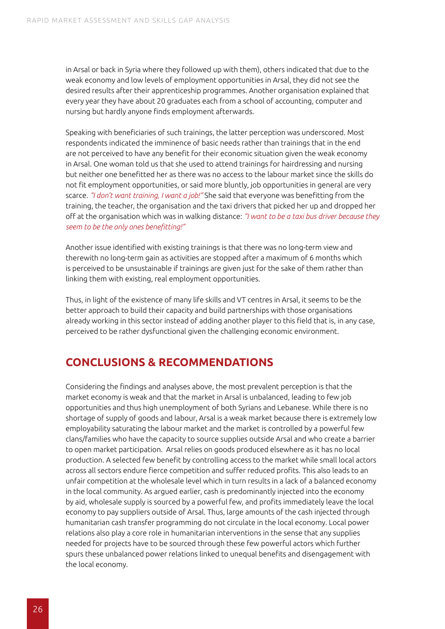in Arsal or back in Syria where they followed up with them), others indicated that due to the weak economy and low levels of employment opportunities in Arsal, they did not see the desired results after their apprenticeship programmes. Another organisation explained that every year they have about 20 graduates each from a school of accounting, computer and nursing but hardly anyone finds employment afterwards.

Speaking with beneficiaries of such trainings, the latter perception was underscored. Most respondents indicated the imminence of basic needs rather than trainings that in the end are not perceived to have any benefit for their economic situation given the weak economy in Arsal. One woman told us that she used to attend trainings for hairdressing and nursing but neither one benefitted her as there was no access to the labour market since the skills do not fit employment opportunities, or said more bluntly, job opportunities in general are very scarce. *"I don't want training, I want a job!"* She said that everyone was benefitting from the training, the teacher, the organisation and the taxi drivers that picked her up and dropped her off at the organisation which was in walking distance: *"I want to be a taxi bus driver because they seem to be the only ones benefitting!"*

Another issue identified with existing trainings is that there was no long-term view and therewith no long-term gain as activities are stopped after a maximum of 6 months which is perceived to be unsustainable if trainings are given just for the sake of them rather than linking them with existing, real employment opportunities.

Thus, in light of the existence of many life skills and VT centres in Arsal, it seems to be the better approach to build their capacity and build partnerships with those organisations already working in this sector instead of adding another player to this field that is, in any case, perceived to be rather dysfunctional given the challenging economic environment.

# **CONCLUSIONS & RECOMMENDATIONS**

Considering the findings and analyses above, the most prevalent perception is that the market economy is weak and that the market in Arsal is unbalanced, leading to few job opportunities and thus high unemployment of both Syrians and Lebanese. While there is no shortage of supply of goods and labour, Arsal is a weak market because there is extremely low employability saturating the labour market and the market is controlled by a powerful few clans/families who have the capacity to source supplies outside Arsal and who create a barrier to open market participation. Arsal relies on goods produced elsewhere as it has no local production. A selected few benefit by controlling access to the market while small local actors across all sectors endure fierce competition and suffer reduced profits. This also leads to an unfair competition at the wholesale level which in turn results in a lack of a balanced economy in the local community. As argued earlier, cash is predominantly injected into the economy by aid, wholesale supply is sourced by a powerful few, and profits immediately leave the local economy to pay suppliers outside of Arsal. Thus, large amounts of the cash injected through humanitarian cash transfer programming do not circulate in the local economy. Local power relations also play a core role in humanitarian interventions in the sense that any supplies needed for projects have to be sourced through these few powerful actors which further spurs these unbalanced power relations linked to unequal benefits and disengagement with the local economy.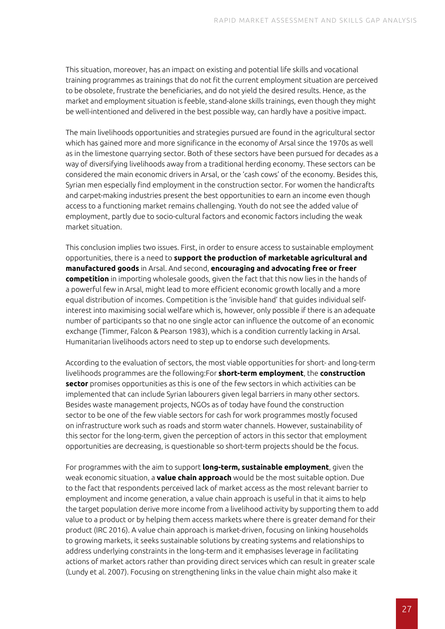This situation, moreover, has an impact on existing and potential life skills and vocational training programmes as trainings that do not fit the current employment situation are perceived to be obsolete, frustrate the beneficiaries, and do not yield the desired results. Hence, as the market and employment situation is feeble, stand-alone skills trainings, even though they might be well-intentioned and delivered in the best possible way, can hardly have a positive impact.

The main livelihoods opportunities and strategies pursued are found in the agricultural sector which has gained more and more significance in the economy of Arsal since the 1970s as well as in the limestone quarrying sector. Both of these sectors have been pursued for decades as a way of diversifying livelihoods away from a traditional herding economy. These sectors can be considered the main economic drivers in Arsal, or the 'cash cows' of the economy. Besides this, Syrian men especially find employment in the construction sector. For women the handicrafts and carpet-making industries present the best opportunities to earn an income even though access to a functioning market remains challenging. Youth do not see the added value of employment, partly due to socio-cultural factors and economic factors including the weak market situation.

This conclusion implies two issues. First, in order to ensure access to sustainable employment opportunities, there is a need to **support the production of marketable agricultural and manufactured goods** in Arsal. And second, **encouraging and advocating free or freer competition** in importing wholesale goods, given the fact that this now lies in the hands of a powerful few in Arsal, might lead to more efficient economic growth locally and a more equal distribution of incomes. Competition is the 'invisible hand' that guides individual selfinterest into maximising social welfare which is, however, only possible if there is an adequate number of participants so that no one single actor can influence the outcome of an economic exchange (Timmer, Falcon & Pearson 1983), which is a condition currently lacking in Arsal. Humanitarian livelihoods actors need to step up to endorse such developments.

According to the evaluation of sectors, the most viable opportunities for short- and long-term livelihoods programmes are the following:For **short-term employment**, the **construction sector** promises opportunities as this is one of the few sectors in which activities can be implemented that can include Syrian labourers given legal barriers in many other sectors. Besides waste management projects, NGOs as of today have found the construction sector to be one of the few viable sectors for cash for work programmes mostly focused on infrastructure work such as roads and storm water channels. However, sustainability of this sector for the long-term, given the perception of actors in this sector that employment opportunities are decreasing, is questionable so short-term projects should be the focus.

For programmes with the aim to support **long-term, sustainable employment**, given the weak economic situation, a **value chain approach** would be the most suitable option. Due to the fact that respondents perceived lack of market access as the most relevant barrier to employment and income generation, a value chain approach is useful in that it aims to help the target population derive more income from a livelihood activity by supporting them to add value to a product or by helping them access markets where there is greater demand for their product (IRC 2016). A value chain approach is market-driven, focusing on linking households to growing markets, it seeks sustainable solutions by creating systems and relationships to address underlying constraints in the long-term and it emphasises leverage in facilitating actions of market actors rather than providing direct services which can result in greater scale (Lundy et al. 2007). Focusing on strengthening links in the value chain might also make it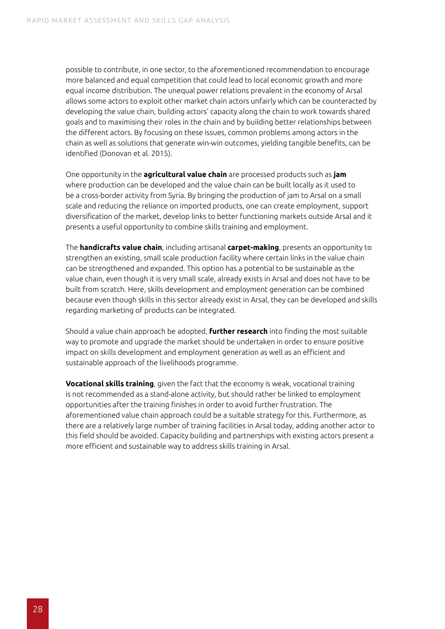possible to contribute, in one sector, to the aforementioned recommendation to encourage more balanced and equal competition that could lead to local economic growth and more equal income distribution. The unequal power relations prevalent in the economy of Arsal allows some actors to exploit other market chain actors unfairly which can be counteracted by developing the value chain, building actors' capacity along the chain to work towards shared goals and to maximising their roles in the chain and by building better relationships between the different actors. By focusing on these issues, common problems among actors in the chain as well as solutions that generate win-win outcomes, yielding tangible benefits, can be identified (Donovan et al. 2015).

One opportunity in the **agricultural value chain** are processed products such as **jam** where production can be developed and the value chain can be built locally as it used to be a cross-border activity from Syria. By bringing the production of jam to Arsal on a small scale and reducing the reliance on imported products, one can create employment, support diversification of the market, develop links to better functioning markets outside Arsal and it presents a useful opportunity to combine skills training and employment.

The **handicrafts value chain**, including artisanal **carpet-making**, presents an opportunity to strengthen an existing, small scale production facility where certain links in the value chain can be strengthened and expanded. This option has a potential to be sustainable as the value chain, even though it is very small scale, already exists in Arsal and does not have to be built from scratch. Here, skills development and employment generation can be combined because even though skills in this sector already exist in Arsal, they can be developed and skills regarding marketing of products can be integrated.

Should a value chain approach be adopted, **further research** into finding the most suitable way to promote and upgrade the market should be undertaken in order to ensure positive impact on skills development and employment generation as well as an efficient and sustainable approach of the livelihoods programme.

**Vocational skills training**, given the fact that the economy is weak, vocational training is not recommended as a stand-alone activity, but should rather be linked to employment opportunities after the training finishes in order to avoid further frustration. The aforementioned value chain approach could be a suitable strategy for this. Furthermore, as there are a relatively large number of training facilities in Arsal today, adding another actor to this field should be avoided. Capacity building and partnerships with existing actors present a more efficient and sustainable way to address skills training in Arsal.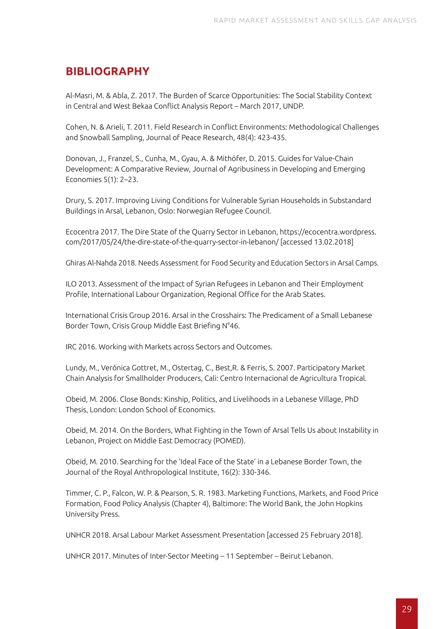# **BIBLIOGRAPHY**

Al-Masri, M. & Abla, Z. 2017. The Burden of Scarce Opportunities: The Social Stability Context in Central and West Bekaa Conflict Analysis Report – March 2017, UNDP.

Cohen, N. & Arieli, T. 2011. Field Research in Conflict Environments: Methodological Challenges and Snowball Sampling, Journal of Peace Research, 48(4): 423-435.

Donovan, J., Franzel, S., Cunha, M., Gyau, A. & Mithöfer, D. 2015. Guides for Value-Chain Development: A Comparative Review, Journal of Agribusiness in Developing and Emerging Economies 5(1): 2–23.

Drury, S. 2017. Improving Living Conditions for Vulnerable Syrian Households in Substandard Buildings in Arsal, Lebanon, Oslo: Norwegian Refugee Council.

Ecocentra 2017. The Dire State of the Quarry Sector in Lebanon, https://ecocentra.wordpress. com/2017/05/24/the-dire-state-of-the-quarry-sector-in-lebanon/ [accessed 13.02.2018]

Ghiras Al-Nahda 2018. Needs Assessment for Food Security and Education Sectors in Arsal Camps.

ILO 2013. Assessment of the Impact of Syrian Refugees in Lebanon and Their Employment Profile, International Labour Organization, Regional Office for the Arab States.

International Crisis Group 2016. Arsal in the Crosshairs: The Predicament of a Small Lebanese Border Town, Crisis Group Middle East Briefing N°46.

IRC 2016. Working with Markets across Sectors and Outcomes.

Lundy, M., Verónica Gottret, M., Ostertag, C., Best,R. & Ferris, S. 2007. Participatory Market Chain Analysis for Smallholder Producers, Cali: Centro Internacional de Agricultura Tropical.

Obeid, M. 2006. Close Bonds: Kinship, Politics, and Livelihoods in a Lebanese Village, PhD Thesis, London: London School of Economics.

Obeid, M. 2014. On the Borders, What Fighting in the Town of Arsal Tells Us about Instability in Lebanon, Project on Middle East Democracy (POMED).

Obeid, M. 2010. Searching for the 'Ideal Face of the State' in a Lebanese Border Town, the Journal of the Royal Anthropological Institute, 16(2): 330-346.

Timmer, C. P., Falcon, W. P. & Pearson, S. R. 1983. Marketing Functions, Markets, and Food Price Formation, Food Policy Analysis (Chapter 4), Baltimore: The World Bank, the John Hopkins University Press.

UNHCR 2018. Arsal Labour Market Assessment Presentation [accessed 25 February 2018].

UNHCR 2017. Minutes of Inter-Sector Meeting – 11 September – Beirut Lebanon.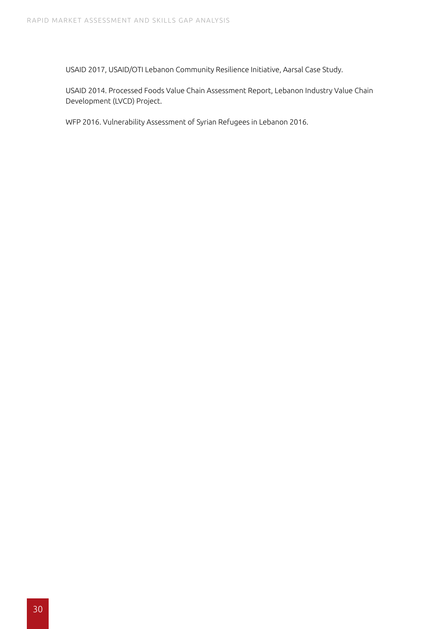USAID 2017, USAID/OTI Lebanon Community Resilience Initiative, Aarsal Case Study.

USAID 2014. Processed Foods Value Chain Assessment Report, Lebanon Industry Value Chain Development (LVCD) Project.

WFP 2016. Vulnerability Assessment of Syrian Refugees in Lebanon 2016.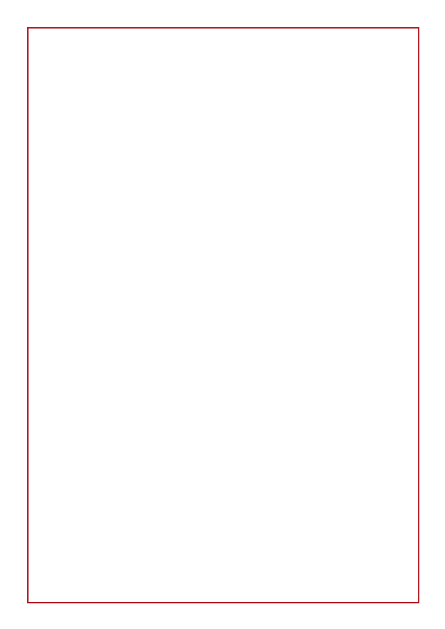